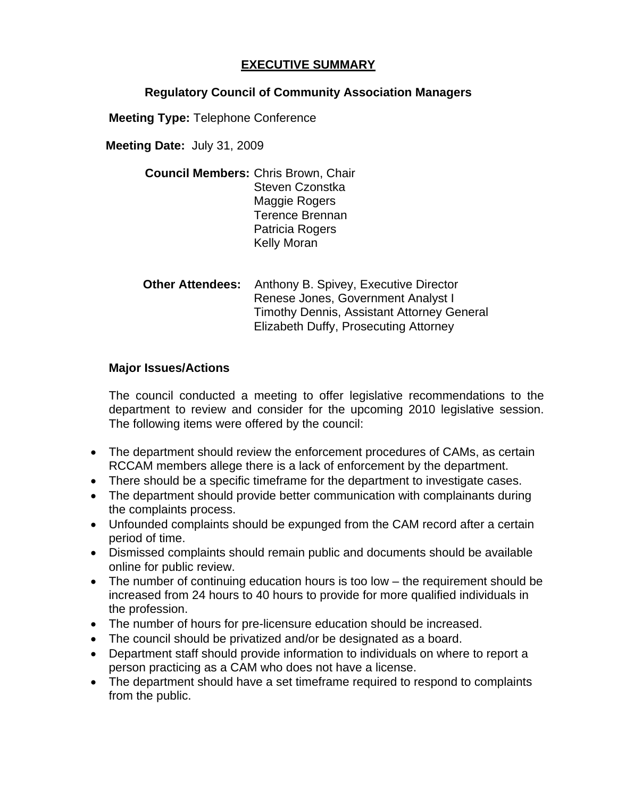## **EXECUTIVE SUMMARY**

## **Regulatory Council of Community Association Managers**

**Meeting Type:** Telephone Conference

**Meeting Date:** July 31, 2009

**Council Members:** Chris Brown, Chair Steven Czonstka Maggie Rogers Terence Brennan Patricia Rogers Kelly Moran

 **Other Attendees:** Anthony B. Spivey, Executive Director Renese Jones, Government Analyst I Timothy Dennis, Assistant Attorney General Elizabeth Duffy, Prosecuting Attorney

## **Major Issues/Actions**

The council conducted a meeting to offer legislative recommendations to the department to review and consider for the upcoming 2010 legislative session. The following items were offered by the council:

- The department should review the enforcement procedures of CAMs, as certain RCCAM members allege there is a lack of enforcement by the department.
- There should be a specific timeframe for the department to investigate cases.
- The department should provide better communication with complainants during the complaints process.
- Unfounded complaints should be expunged from the CAM record after a certain period of time.
- Dismissed complaints should remain public and documents should be available online for public review.
- The number of continuing education hours is too low the requirement should be increased from 24 hours to 40 hours to provide for more qualified individuals in the profession.
- The number of hours for pre-licensure education should be increased.
- The council should be privatized and/or be designated as a board.
- Department staff should provide information to individuals on where to report a person practicing as a CAM who does not have a license.
- The department should have a set timeframe required to respond to complaints from the public.